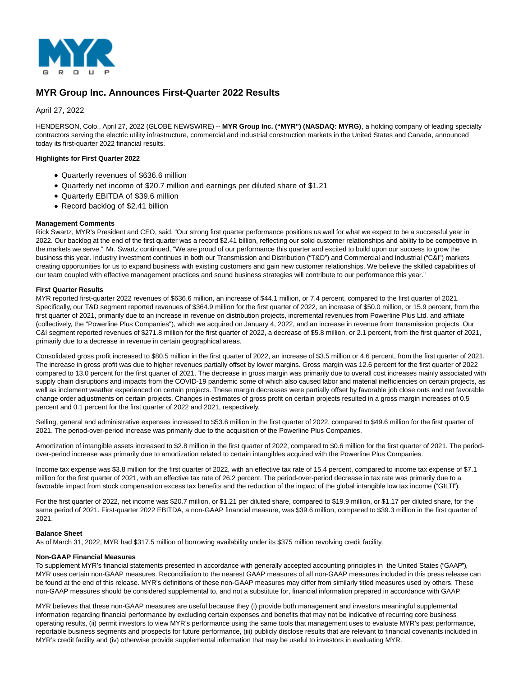

# **MYR Group Inc. Announces First-Quarter 2022 Results**

April 27, 2022

HENDERSON, Colo., April 27, 2022 (GLOBE NEWSWIRE) -- MYR Group Inc. ("MYR") (NASDAQ: MYRG), a holding company of leading specialty contractors serving the electric utility infrastructure, commercial and industrial construction markets in the United States and Canada, announced today its first-quarter 2022 financial results.

# **Highlights for First Quarter 2022**

- Quarterly revenues of \$636.6 million
- Quarterly net income of \$20.7 million and earnings per diluted share of \$1.21
- Quarterly EBITDA of \$39.6 million
- Record backlog of \$2.41 billion

### **Management Comments**

Rick Swartz, MYR's President and CEO, said, "Our strong first quarter performance positions us well for what we expect to be a successful year in 2022. Our backlog at the end of the first quarter was a record \$2.41 billion, reflecting our solid customer relationships and ability to be competitive in the markets we serve." Mr. Swartz continued, "We are proud of our performance this quarter and excited to build upon our success to grow the business this year. Industry investment continues in both our Transmission and Distribution ("T&D") and Commercial and Industrial ("C&I") markets creating opportunities for us to expand business with existing customers and gain new customer relationships. We believe the skilled capabilities of our team coupled with effective management practices and sound business strategies will contribute to our performance this year."

# **First Quarter Results**

MYR reported first-quarter 2022 revenues of \$636.6 million, an increase of \$44.1 million, or 7.4 percent, compared to the first quarter of 2021. Specifically, our T&D segment reported revenues of \$364.9 million for the first quarter of 2022, an increase of \$50.0 million, or 15.9 percent, from the first quarter of 2021, primarily due to an increase in revenue on distribution projects, incremental revenues from Powerline Plus Ltd. and affiliate (collectively, the "Powerline Plus Companies"), which we acquired on January 4, 2022, and an increase in revenue from transmission projects. Our C&I segment reported revenues of \$271.8 million for the first quarter of 2022, a decrease of \$5.8 million, or 2.1 percent, from the first quarter of 2021, primarily due to a decrease in revenue in certain geographical areas.

Consolidated gross profit increased to \$80.5 million in the first quarter of 2022, an increase of \$3.5 million or 4.6 percent, from the first quarter of 2021. The increase in gross profit was due to higher revenues partially offset by lower margins. Gross margin was 12.6 percent for the first quarter of 2022 compared to 13.0 percent for the first quarter of 2021. The decrease in gross margin was primarily due to overall cost increases mainly associated with supply chain disruptions and impacts from the COVID-19 pandemic some of which also caused labor and material inefficiencies on certain projects, as well as inclement weather experienced on certain projects. These margin decreases were partially offset by favorable job close outs and net favorable change order adjustments on certain projects. Changes in estimates of gross profit on certain projects resulted in a gross margin increases of 0.5 percent and 0.1 percent for the first quarter of 2022 and 2021, respectively.

Selling, general and administrative expenses increased to \$53.6 million in the first quarter of 2022, compared to \$49.6 million for the first quarter of 2021. The period-over-period increase was primarily due to the acquisition of the Powerline Plus Companies.

Amortization of intangible assets increased to \$2.8 million in the first quarter of 2022, compared to \$0.6 million for the first quarter of 2021. The periodover-period increase was primarily due to amortization related to certain intangibles acquired with the Powerline Plus Companies.

Income tax expense was \$3.8 million for the first quarter of 2022, with an effective tax rate of 15.4 percent, compared to income tax expense of \$7.1 million for the first quarter of 2021, with an effective tax rate of 26.2 percent. The period-over-period decrease in tax rate was primarily due to a favorable impact from stock compensation excess tax benefits and the reduction of the impact of the global intangible low tax income ("GILTI").

For the first quarter of 2022, net income was \$20.7 million, or \$1.21 per diluted share, compared to \$19.9 million, or \$1.17 per diluted share, for the same period of 2021. First-quarter 2022 EBITDA, a non-GAAP financial measure, was \$39.6 million, compared to \$39.3 million in the first quarter of 2021.

### **Balance Sheet**

As of March 31, 2022, MYR had \$317.5 million of borrowing availability under its \$375 million revolving credit facility.

### **Non-GAAP Financial Measures**

To supplement MYR's financial statements presented in accordance with generally accepted accounting principles in the United States ("GAAP"), MYR uses certain non-GAAP measures. Reconciliation to the nearest GAAP measures of all non-GAAP measures included in this press release can be found at the end of this release. MYR's definitions of these non-GAAP measures may differ from similarly titled measures used by others. These non-GAAP measures should be considered supplemental to, and not a substitute for, financial information prepared in accordance with GAAP.

MYR believes that these non-GAAP measures are useful because they (i) provide both management and investors meaningful supplemental information regarding financial performance by excluding certain expenses and benefits that may not be indicative of recurring core business operating results, (ii) permit investors to view MYR's performance using the same tools that management uses to evaluate MYR's past performance, reportable business segments and prospects for future performance, (iii) publicly disclose results that are relevant to financial covenants included in MYR's credit facility and (iv) otherwise provide supplemental information that may be useful to investors in evaluating MYR.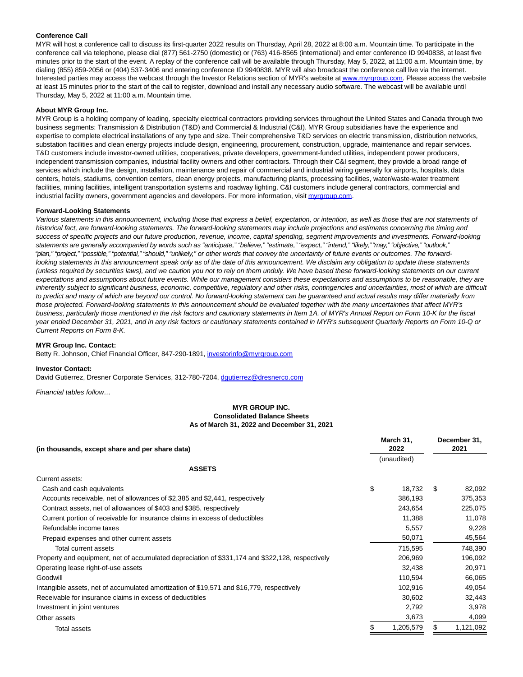### **Conference Call**

MYR will host a conference call to discuss its first-quarter 2022 results on Thursday, April 28, 2022 at 8:00 a.m. Mountain time. To participate in the conference call via telephone, please dial (877) 561-2750 (domestic) or (763) 416-8565 (international) and enter conference ID 9940838, at least five minutes prior to the start of the event. A replay of the conference call will be available through Thursday, May 5, 2022, at 11:00 a.m. Mountain time, by dialing (855) 859-2056 or (404) 537-3406 and entering conference ID 9940838. MYR will also broadcast the conference call live via the internet. Interested parties may access the webcast through the Investor Relations section of MYR's website a[t www.myrgroup.com.](http://www.myrgroup.com/) Please access the website at least 15 minutes prior to the start of the call to register, download and install any necessary audio software. The webcast will be available until Thursday, May 5, 2022 at 11:00 a.m. Mountain time.

#### **About MYR Group Inc.**

MYR Group is a holding company of leading, specialty electrical contractors providing services throughout the United States and Canada through two business segments: Transmission & Distribution (T&D) and Commercial & Industrial (C&I). MYR Group subsidiaries have the experience and expertise to complete electrical installations of any type and size. Their comprehensive T&D services on electric transmission, distribution networks, substation facilities and clean energy projects include design, engineering, procurement, construction, upgrade, maintenance and repair services. T&D customers include investor-owned utilities, cooperatives, private developers, government-funded utilities, independent power producers, independent transmission companies, industrial facility owners and other contractors. Through their C&I segment, they provide a broad range of services which include the design, installation, maintenance and repair of commercial and industrial wiring generally for airports, hospitals, data centers, hotels, stadiums, convention centers, clean energy projects, manufacturing plants, processing facilities, water/waste-water treatment facilities, mining facilities, intelligent transportation systems and roadway lighting. C&I customers include general contractors, commercial and industrial facility owners, government agencies and developers. For more information, visi[t myrgroup.com.](http://myrgroup.com/)

### **Forward-Looking Statements**

Various statements in this announcement, including those that express a belief, expectation, or intention, as well as those that are not statements of historical fact, are forward-looking statements. The forward-looking statements may include projections and estimates concerning the timing and success of specific projects and our future production, revenue, income, capital spending, segment improvements and investments. Forward-looking statements are generally accompanied by words such as "anticipate," "believe," "estimate," "expect," "intend," "likely," "may," "objective," "outlook," "plan," "project," "possible," "potential," "should," "unlikely," or other words that convey the uncertainty of future events or outcomes. The forwardlooking statements in this announcement speak only as of the date of this announcement. We disclaim any obligation to update these statements (unless required by securities laws), and we caution you not to rely on them unduly. We have based these forward-looking statements on our current expectations and assumptions about future events. While our management considers these expectations and assumptions to be reasonable, they are inherently subject to significant business, economic, competitive, regulatory and other risks, contingencies and uncertainties, most of which are difficult to predict and many of which are beyond our control. No forward-looking statement can be guaranteed and actual results may differ materially from those projected. Forward-looking statements in this announcement should be evaluated together with the many uncertainties that affect MYR's business, particularly those mentioned in the risk factors and cautionary statements in Item 1A. of MYR's Annual Report on Form 10-K for the fiscal year ended December 31, 2021, and in any risk factors or cautionary statements contained in MYR's subsequent Quarterly Reports on Form 10-Q or Current Reports on Form 8-K.

#### **MYR Group Inc. Contact:**

Betty R. Johnson, Chief Financial Officer, 847-290-1891, [investorinfo@myrgroup.com](https://www.globenewswire.com/Tracker?data=NchovNBaGxKjBU4GshGag0lTrQLwxC1GVHI51NN8jLI3Nl4hbJlJGLy4UIYJkjKIyodHLBnmN9hpg2Z5ynW8xVeI91KIsby4jUSbEtQOPwM=)

#### **Investor Contact:**

David Gutierrez, Dresner Corporate Services, 312-780-7204, [dgutierrez@dresnerco.com](https://www.globenewswire.com/Tracker?data=nucGTuKd2FgOFAXLmRipHqK85d1nL1sHoWuSdxEBSOdwg6112a4BCfqeMae-2aye_XPUCFGKlR4PGA-4AVEBeqlxfXiE8-TIDqARGnJEEGw=)

Financial tables follow…

# **MYR GROUP INC. Consolidated Balance Sheets As of March 31, 2022 and December 31, 2021**

| (in thousands, except share and per share data)                                                  |    | March 31,<br>2022 |     | December 31,<br>2021 |  |
|--------------------------------------------------------------------------------------------------|----|-------------------|-----|----------------------|--|
|                                                                                                  |    | (unaudited)       |     |                      |  |
| <b>ASSETS</b>                                                                                    |    |                   |     |                      |  |
| Current assets:                                                                                  |    |                   |     |                      |  |
| Cash and cash equivalents                                                                        | \$ | 18,732            | \$. | 82,092               |  |
| Accounts receivable, net of allowances of \$2,385 and \$2,441, respectively                      |    | 386,193           |     | 375,353              |  |
| Contract assets, net of allowances of \$403 and \$385, respectively                              |    | 243,654           |     | 225,075              |  |
| Current portion of receivable for insurance claims in excess of deductibles                      |    | 11,388            |     | 11,078               |  |
| Refundable income taxes                                                                          |    | 5,557             |     | 9,228                |  |
| Prepaid expenses and other current assets                                                        |    | 50,071            |     | 45,564               |  |
| Total current assets                                                                             |    | 715,595           |     | 748,390              |  |
| Property and equipment, net of accumulated depreciation of \$331,174 and \$322,128, respectively |    | 206,969           |     | 196,092              |  |
| Operating lease right-of-use assets                                                              |    | 32,438            |     | 20,971               |  |
| Goodwill                                                                                         |    | 110,594           |     | 66,065               |  |
| Intangible assets, net of accumulated amortization of \$19,571 and \$16,779, respectively        |    | 102,916           |     | 49,054               |  |
| Receivable for insurance claims in excess of deductibles                                         |    | 30,602            |     | 32,443               |  |
| Investment in joint ventures                                                                     |    | 2,792             |     | 3,978                |  |
| Other assets                                                                                     |    | 3,673             |     | 4,099                |  |
| Total assets                                                                                     |    | 1,205,579         |     | 1,121,092            |  |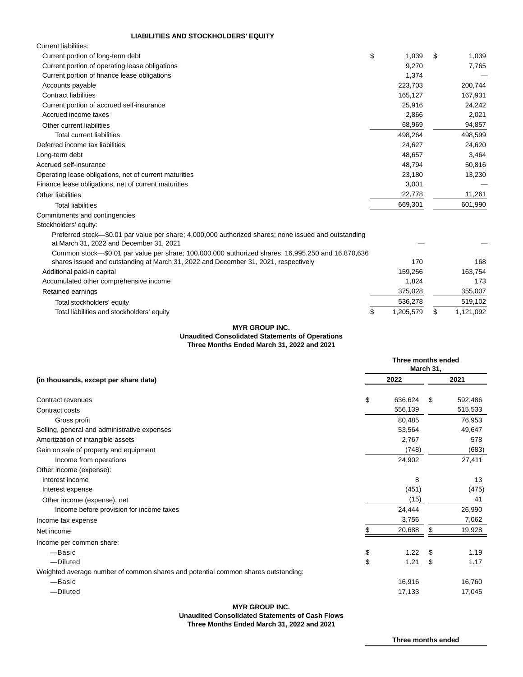# **LIABILITIES AND STOCKHOLDERS' EQUITY**

| <b>Current liabilities:</b>                                                                                                                     |             |   |         |
|-------------------------------------------------------------------------------------------------------------------------------------------------|-------------|---|---------|
| Current portion of long-term debt                                                                                                               | \$<br>1,039 | S | 1,039   |
| Current portion of operating lease obligations                                                                                                  | 9,270       |   | 7,765   |
| Current portion of finance lease obligations                                                                                                    | 1,374       |   |         |
| Accounts payable                                                                                                                                | 223,703     |   | 200,744 |
| <b>Contract liabilities</b>                                                                                                                     | 165,127     |   | 167,931 |
| Current portion of accrued self-insurance                                                                                                       | 25,916      |   | 24,242  |
| Accrued income taxes                                                                                                                            | 2,866       |   | 2,021   |
| Other current liabilities                                                                                                                       | 68,969      |   | 94,857  |
| Total current liabilities                                                                                                                       | 498,264     |   | 498,599 |
| Deferred income tax liabilities                                                                                                                 | 24,627      |   | 24,620  |
| Long-term debt                                                                                                                                  | 48,657      |   | 3,464   |
| Accrued self-insurance                                                                                                                          | 48,794      |   | 50,816  |
| Operating lease obligations, net of current maturities                                                                                          | 23,180      |   | 13,230  |
| Finance lease obligations, net of current maturities                                                                                            | 3,001       |   |         |
| Other liabilities                                                                                                                               | 22,778      |   | 11,261  |
| Total liabilities                                                                                                                               | 669,301     |   | 601,990 |
| Commitments and contingencies                                                                                                                   |             |   |         |
| Stockholders' equity:                                                                                                                           |             |   |         |
| Preferred stock—\$0.01 par value per share; 4,000,000 authorized shares; none issued and outstanding<br>at March 31, 2022 and December 31, 2021 |             |   |         |

| Common stock—\$0.01 par value per share; 100,000,000 authorized shares; 16,995,250 and 16,870,636 |   |           |           |
|---------------------------------------------------------------------------------------------------|---|-----------|-----------|
| shares issued and outstanding at March 31, 2022 and December 31, 2021, respectively               |   | 170       | 168       |
| Additional paid-in capital                                                                        |   | 159.256   | 163.754   |
| Accumulated other comprehensive income                                                            |   | 1.824     | 173       |
| Retained earnings                                                                                 |   | 375.028   | 355,007   |
| Total stockholders' equity                                                                        |   | 536.278   | 519,102   |
| Total liabilities and stockholders' equity                                                        | S | 1.205.579 | 1.121.092 |

# **MYR GROUP INC. Unaudited Consolidated Statements of Operations Three Months Ended March 31, 2022 and 2021**

| 2021<br>2022<br>(in thousands, except per share data)<br>\$<br>636,624<br>592,486<br>Contract revenues<br>\$<br>556,139<br>515,533<br>Contract costs<br>80,485<br>76,953<br>Gross profit<br>53,564<br>49,647<br>Selling, general and administrative expenses<br>Amortization of intangible assets<br>2,767<br>578<br>(748)<br>(683)<br>Gain on sale of property and equipment<br>24,902<br>27,411<br>Income from operations<br>Other income (expense):<br>Interest income<br>8<br>13<br>(451)<br>(475)<br>Interest expense<br>(15)<br>41<br>Other income (expense), net |
|-------------------------------------------------------------------------------------------------------------------------------------------------------------------------------------------------------------------------------------------------------------------------------------------------------------------------------------------------------------------------------------------------------------------------------------------------------------------------------------------------------------------------------------------------------------------------|
|                                                                                                                                                                                                                                                                                                                                                                                                                                                                                                                                                                         |
|                                                                                                                                                                                                                                                                                                                                                                                                                                                                                                                                                                         |
|                                                                                                                                                                                                                                                                                                                                                                                                                                                                                                                                                                         |
|                                                                                                                                                                                                                                                                                                                                                                                                                                                                                                                                                                         |
|                                                                                                                                                                                                                                                                                                                                                                                                                                                                                                                                                                         |
|                                                                                                                                                                                                                                                                                                                                                                                                                                                                                                                                                                         |
|                                                                                                                                                                                                                                                                                                                                                                                                                                                                                                                                                                         |
|                                                                                                                                                                                                                                                                                                                                                                                                                                                                                                                                                                         |
|                                                                                                                                                                                                                                                                                                                                                                                                                                                                                                                                                                         |
|                                                                                                                                                                                                                                                                                                                                                                                                                                                                                                                                                                         |
|                                                                                                                                                                                                                                                                                                                                                                                                                                                                                                                                                                         |
|                                                                                                                                                                                                                                                                                                                                                                                                                                                                                                                                                                         |
| 24,444<br>26,990<br>Income before provision for income taxes                                                                                                                                                                                                                                                                                                                                                                                                                                                                                                            |
| 3,756<br>7,062<br>Income tax expense                                                                                                                                                                                                                                                                                                                                                                                                                                                                                                                                    |
| 20,688<br>19,928<br>\$<br>Net income                                                                                                                                                                                                                                                                                                                                                                                                                                                                                                                                    |
| Income per common share:                                                                                                                                                                                                                                                                                                                                                                                                                                                                                                                                                |
| -Basic<br>\$<br>1.22<br>1.19<br>\$                                                                                                                                                                                                                                                                                                                                                                                                                                                                                                                                      |
| \$<br>-Diluted<br>1.21<br>\$<br>1.17                                                                                                                                                                                                                                                                                                                                                                                                                                                                                                                                    |
| Weighted average number of common shares and potential common shares outstanding:                                                                                                                                                                                                                                                                                                                                                                                                                                                                                       |
| 16,916<br>16,760<br>-Basic                                                                                                                                                                                                                                                                                                                                                                                                                                                                                                                                              |
| -Diluted<br>17,133<br>17,045                                                                                                                                                                                                                                                                                                                                                                                                                                                                                                                                            |

# **MYR GROUP INC.**

**Unaudited Consolidated Statements of Cash Flows**

**Three Months Ended March 31, 2022 and 2021**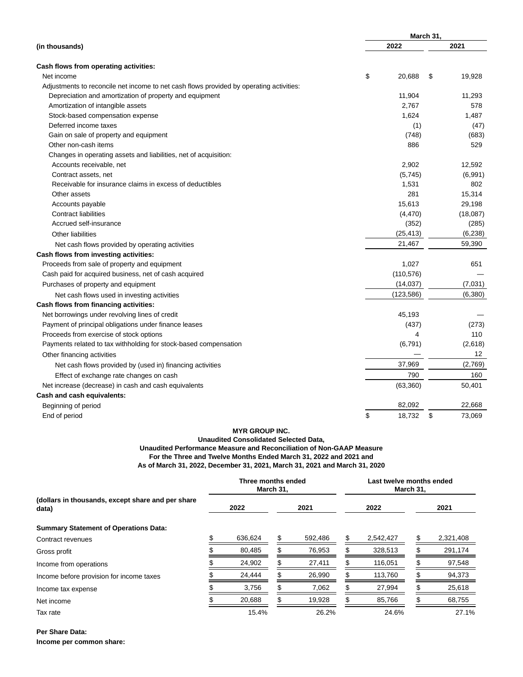|                                                                                         | March 31,    |    |          |  |  |
|-----------------------------------------------------------------------------------------|--------------|----|----------|--|--|
| (in thousands)                                                                          | 2022         |    | 2021     |  |  |
| Cash flows from operating activities:                                                   |              |    |          |  |  |
| Net income                                                                              | \$<br>20.688 | \$ | 19,928   |  |  |
| Adjustments to reconcile net income to net cash flows provided by operating activities: |              |    |          |  |  |
| Depreciation and amortization of property and equipment                                 | 11,904       |    | 11,293   |  |  |
| Amortization of intangible assets                                                       | 2,767        |    | 578      |  |  |
| Stock-based compensation expense                                                        | 1,624        |    | 1,487    |  |  |
| Deferred income taxes                                                                   | (1)          |    | (47)     |  |  |
| Gain on sale of property and equipment                                                  | (748)        |    | (683)    |  |  |
| Other non-cash items                                                                    | 886          |    | 529      |  |  |
| Changes in operating assets and liabilities, net of acquisition:                        |              |    |          |  |  |
| Accounts receivable, net                                                                | 2,902        |    | 12,592   |  |  |
| Contract assets, net                                                                    | (5,745)      |    | (6,991)  |  |  |
| Receivable for insurance claims in excess of deductibles                                | 1,531        |    | 802      |  |  |
| Other assets                                                                            | 281          |    | 15,314   |  |  |
| Accounts payable                                                                        | 15,613       |    | 29,198   |  |  |
| <b>Contract liabilities</b>                                                             | (4, 470)     |    | (18,087) |  |  |
| Accrued self-insurance                                                                  | (352)        |    | (285)    |  |  |
| Other liabilities                                                                       | (25, 413)    |    | (6, 238) |  |  |
| Net cash flows provided by operating activities                                         | 21,467       |    | 59,390   |  |  |
| Cash flows from investing activities:                                                   |              |    |          |  |  |
| Proceeds from sale of property and equipment                                            | 1,027        |    | 651      |  |  |
| Cash paid for acquired business, net of cash acquired                                   | (110, 576)   |    |          |  |  |
| Purchases of property and equipment                                                     | (14, 037)    |    | (7,031)  |  |  |
| Net cash flows used in investing activities                                             | (123, 586)   |    | (6,380)  |  |  |
| Cash flows from financing activities:                                                   |              |    |          |  |  |
| Net borrowings under revolving lines of credit                                          | 45,193       |    |          |  |  |
| Payment of principal obligations under finance leases                                   | (437)        |    | (273)    |  |  |
| Proceeds from exercise of stock options                                                 | 4            |    | 110      |  |  |
| Payments related to tax withholding for stock-based compensation                        | (6,791)      |    | (2,618)  |  |  |
| Other financing activities                                                              |              |    | 12       |  |  |
| Net cash flows provided by (used in) financing activities                               | 37,969       |    | (2,769)  |  |  |
| Effect of exchange rate changes on cash                                                 | 790          |    | 160      |  |  |
| Net increase (decrease) in cash and cash equivalents                                    | (63, 360)    |    | 50,401   |  |  |
| Cash and cash equivalents:                                                              |              |    |          |  |  |
| Beginning of period                                                                     | 82,092       |    | 22,668   |  |  |
| End of period                                                                           | \$<br>18.732 | \$ | 73.069   |  |  |

# **MYR GROUP INC.**

# **Unaudited Consolidated Selected Data, Unaudited Performance Measure and Reconciliation of Non-GAAP Measure For the Three and Twelve Months Ended March 31, 2022 and 2021 and As of March 31, 2022, December 31, 2021, March 31, 2021 and March 31, 2020**

|                                                            |  | Three months ended | March 31, |         |  | Last twelve months ended<br>March 31, |  |           |  |
|------------------------------------------------------------|--|--------------------|-----------|---------|--|---------------------------------------|--|-----------|--|
| (dollars in thousands, except share and per share<br>data) |  | 2022               |           | 2021    |  | 2022                                  |  | 2021      |  |
| <b>Summary Statement of Operations Data:</b>               |  |                    |           |         |  |                                       |  |           |  |
| Contract revenues                                          |  | 636,624            |           | 592,486 |  | 2,542,427                             |  | 2,321,408 |  |
| Gross profit                                               |  | 80,485             |           | 76,953  |  | 328,513                               |  | 291,174   |  |
| Income from operations                                     |  | 24,902             |           | 27,411  |  | 116,051                               |  | 97,548    |  |
| Income before provision for income taxes                   |  | 24,444             |           | 26,990  |  | 113,760                               |  | 94,373    |  |
| Income tax expense                                         |  | 3,756              |           | 7,062   |  | 27,994                                |  | 25,618    |  |
| Net income                                                 |  | 20,688             |           | 19,928  |  | 85,766                                |  | 68,755    |  |
| Tax rate                                                   |  | 15.4%              |           | 26.2%   |  | 24.6%                                 |  | 27.1%     |  |

**Per Share Data:**

**Income per common share:**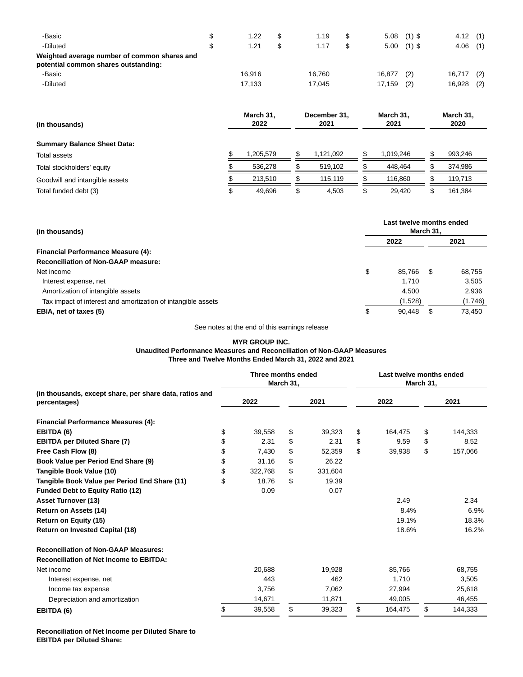| -Basic<br>-Diluted<br>Weighted average number of common shares and<br>potential common shares outstanding: | 1.22<br>1.21 | 1.19<br>1.17 |        | $5.08$ (1) \$<br>$5.00$ (1) \$ | 4.12<br>4.06 | (1)<br>(1) |
|------------------------------------------------------------------------------------------------------------|--------------|--------------|--------|--------------------------------|--------------|------------|
| -Basic                                                                                                     | 16.916       | 16.760       | 16,877 | (2)                            | 16,717       | (2)        |
| -Diluted                                                                                                   | 17.133       | 17.045       | 17,159 | (2)                            | 16,928       | (2)        |

| (in thousands)<br><b>Summary Balance Sheet Data:</b> | March 31.<br>2022 | December 31.<br>2021 | March 31.<br>2021 | March 31,<br>2020 |
|------------------------------------------------------|-------------------|----------------------|-------------------|-------------------|
| Total assets                                         | 1,205,579         | 1.121.092            | \$<br>1.019.246   | 993.246           |
|                                                      |                   |                      |                   |                   |
| Total stockholders' equity                           | 536,278           | 519,102              | 448,464           | 374,986           |
| Goodwill and intangible assets                       | 213,510           | 115,119              | 116,860           | 119,713           |
| Total funded debt (3)                                | \$<br>49,696      | 4,503                | \$<br>29,420      | 161,384           |

| (in thousands)                                               |    | Last twelve months ended<br>March 31, |     |         |  |  |  |  |
|--------------------------------------------------------------|----|---------------------------------------|-----|---------|--|--|--|--|
|                                                              |    | 2022                                  |     | 2021    |  |  |  |  |
| <b>Financial Performance Measure (4):</b>                    |    |                                       |     |         |  |  |  |  |
| <b>Reconciliation of Non-GAAP measure:</b>                   |    |                                       |     |         |  |  |  |  |
| Net income                                                   | \$ | 85.766                                | \$  | 68.755  |  |  |  |  |
| Interest expense, net                                        |    | 1,710                                 |     | 3,505   |  |  |  |  |
| Amortization of intangible assets                            |    | 4.500                                 |     | 2,936   |  |  |  |  |
| Tax impact of interest and amortization of intangible assets |    | (1,528)                               |     | (1,746) |  |  |  |  |
| EBIA, net of taxes (5)                                       | J  | 90,448                                | \$. | 73,450  |  |  |  |  |

See notes at the end of this earnings release

# **MYR GROUP INC. Unaudited Performance Measures and Reconciliation of Non-GAAP Measures Three and Twelve Months Ended March 31, 2022 and 2021**

|                                                                         | Three months ended | March 31, |         |               | March 31, | Last twelve months ended |  |
|-------------------------------------------------------------------------|--------------------|-----------|---------|---------------|-----------|--------------------------|--|
| (in thousands, except share, per share data, ratios and<br>percentages) | 2022               |           | 2021    | 2022          |           | 2021                     |  |
| <b>Financial Performance Measures (4):</b>                              |                    |           |         |               |           |                          |  |
| EBITDA (6)                                                              | \$<br>39,558       | \$        | 39,323  | \$<br>164,475 | \$        | 144,333                  |  |
| <b>EBITDA per Diluted Share (7)</b>                                     | \$<br>2.31         | \$        | 2.31    | \$<br>9.59    | \$        | 8.52                     |  |
| Free Cash Flow (8)                                                      | \$<br>7,430        | \$        | 52,359  | \$<br>39,938  | \$        | 157,066                  |  |
| Book Value per Period End Share (9)                                     | \$<br>31.16        | \$        | 26.22   |               |           |                          |  |
| Tangible Book Value (10)                                                | \$<br>322,768      | \$        | 331,604 |               |           |                          |  |
| Tangible Book Value per Period End Share (11)                           | \$<br>18.76        | \$        | 19.39   |               |           |                          |  |
| <b>Funded Debt to Equity Ratio (12)</b>                                 | 0.09               |           | 0.07    |               |           |                          |  |
| <b>Asset Turnover (13)</b>                                              |                    |           |         | 2.49          |           | 2.34                     |  |
| Return on Assets (14)                                                   |                    |           |         | 8.4%          |           | 6.9%                     |  |
| Return on Equity (15)                                                   |                    |           |         | 19.1%         |           | 18.3%                    |  |
| <b>Return on Invested Capital (18)</b>                                  |                    |           |         | 18.6%         |           | 16.2%                    |  |
| <b>Reconciliation of Non-GAAP Measures:</b>                             |                    |           |         |               |           |                          |  |
| <b>Reconciliation of Net Income to EBITDA:</b>                          |                    |           |         |               |           |                          |  |
| Net income                                                              | 20.688             |           | 19.928  | 85,766        |           | 68,755                   |  |
| Interest expense, net                                                   | 443                |           | 462     | 1.710         |           | 3,505                    |  |
| Income tax expense                                                      | 3,756              |           | 7,062   | 27,994        |           | 25,618                   |  |
| Depreciation and amortization                                           | 14,671             |           | 11,871  | 49,005        |           | 46,455                   |  |
| EBITDA (6)                                                              | \$<br>39,558       | \$        | 39,323  | \$<br>164,475 | \$        | 144,333                  |  |

**Reconciliation of Net Income per Diluted Share to EBITDA per Diluted Share:**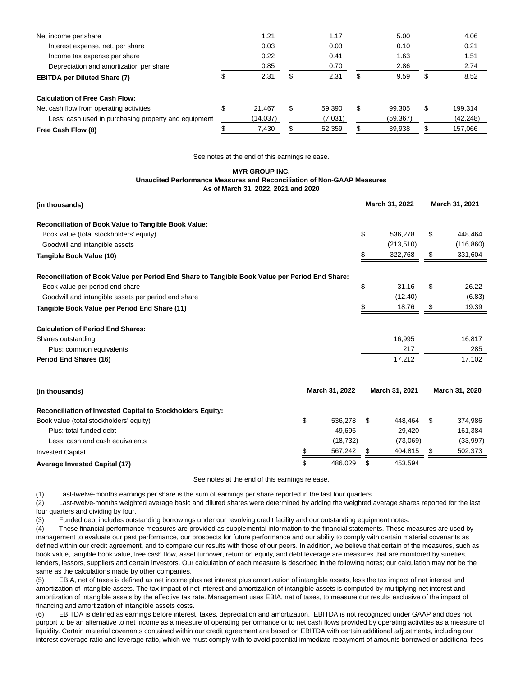| Net income per share                                 | 1.21         |    | 1.17    |   | 5.00      | 4.06          |
|------------------------------------------------------|--------------|----|---------|---|-----------|---------------|
| Interest expense, net, per share                     | 0.03         |    | 0.03    |   | 0.10      | 0.21          |
| Income tax expense per share                         | 0.22         |    | 0.41    |   | 1.63      | 1.51          |
| Depreciation and amortization per share              | 0.85         |    | 0.70    |   | 2.86      | 2.74          |
| <b>EBITDA per Diluted Share (7)</b>                  | 2.31         | S  | 2.31    |   | 9.59      | 8.52          |
| <b>Calculation of Free Cash Flow:</b>                |              |    |         |   |           |               |
| Net cash flow from operating activities              | \$<br>21.467 | \$ | 59.390  | S | 99.305    | \$<br>199.314 |
| Less: cash used in purchasing property and equipment | (14, 037)    |    | (7,031) |   | (59, 367) | (42, 248)     |
| Free Cash Flow (8)                                   | 7,430        |    | 52,359  |   | 39,938    | 157,066       |

See notes at the end of this earnings release.

### **MYR GROUP INC. Unaudited Performance Measures and Reconciliation of Non-GAAP Measures As of March 31, 2022, 2021 and 2020**

| (in thousands)                                                                                 |    | March 31, 2022 | March 31, 2021 |                |
|------------------------------------------------------------------------------------------------|----|----------------|----------------|----------------|
| Reconciliation of Book Value to Tangible Book Value:                                           |    |                |                |                |
| Book value (total stockholders' equity)                                                        |    |                | \$<br>536,278  | \$<br>448,464  |
| Goodwill and intangible assets                                                                 |    |                | (213, 510)     | (116, 860)     |
| Tangible Book Value (10)                                                                       |    |                | \$<br>322,768  | \$<br>331,604  |
| Reconciliation of Book Value per Period End Share to Tangible Book Value per Period End Share: |    |                |                |                |
| Book value per period end share                                                                |    |                | \$<br>31.16    | \$<br>26.22    |
| Goodwill and intangible assets per period end share                                            |    |                | (12.40)        | (6.83)         |
| Tangible Book Value per Period End Share (11)                                                  |    |                | \$<br>18.76    | \$<br>19.39    |
| <b>Calculation of Period End Shares:</b>                                                       |    |                |                |                |
| Shares outstanding                                                                             |    |                | 16,995         | 16,817         |
| Plus: common equivalents                                                                       |    |                | 217            | 285            |
| Period End Shares (16)                                                                         |    |                | 17,212         | 17,102         |
| (in thousands)                                                                                 |    | March 31, 2022 | March 31, 2021 | March 31, 2020 |
| <b>Reconciliation of Invested Capital to Stockholders Equity:</b>                              |    |                |                |                |
| Book value (total stockholders' equity)                                                        | \$ | 536,278        | \$<br>448,464  | \$<br>374,986  |
| Plus: total funded debt                                                                        |    | 49.696         | 29,420         | 161,384        |
| Less: cash and cash equivalents                                                                |    | (18, 732)      | (73,069)       | (33,997)       |
| <b>Invested Capital</b>                                                                        | \$ | 567,242        | \$<br>404,815  | \$<br>502,373  |
| <b>Average Invested Capital (17)</b>                                                           | \$ | 486,029        | \$<br>453,594  |                |

See notes at the end of this earnings release.

(1) Last-twelve-months earnings per share is the sum of earnings per share reported in the last four quarters.

(2) Last-twelve-months weighted average basic and diluted shares were determined by adding the weighted average shares reported for the last four quarters and dividing by four.

(3) Funded debt includes outstanding borrowings under our revolving credit facility and our outstanding equipment notes.

(4) These financial performance measures are provided as supplemental information to the financial statements. These measures are used by management to evaluate our past performance, our prospects for future performance and our ability to comply with certain material covenants as defined within our credit agreement, and to compare our results with those of our peers. In addition, we believe that certain of the measures, such as book value, tangible book value, free cash flow, asset turnover, return on equity, and debt leverage are measures that are monitored by sureties, lenders, lessors, suppliers and certain investors. Our calculation of each measure is described in the following notes; our calculation may not be the same as the calculations made by other companies.

(5) EBIA, net of taxes is defined as net income plus net interest plus amortization of intangible assets, less the tax impact of net interest and amortization of intangible assets. The tax impact of net interest and amortization of intangible assets is computed by multiplying net interest and amortization of intangible assets by the effective tax rate. Management uses EBIA, net of taxes, to measure our results exclusive of the impact of financing and amortization of intangible assets costs.

(6) EBITDA is defined as earnings before interest, taxes, depreciation and amortization. EBITDA is not recognized under GAAP and does not purport to be an alternative to net income as a measure of operating performance or to net cash flows provided by operating activities as a measure of liquidity. Certain material covenants contained within our credit agreement are based on EBITDA with certain additional adjustments, including our interest coverage ratio and leverage ratio, which we must comply with to avoid potential immediate repayment of amounts borrowed or additional fees